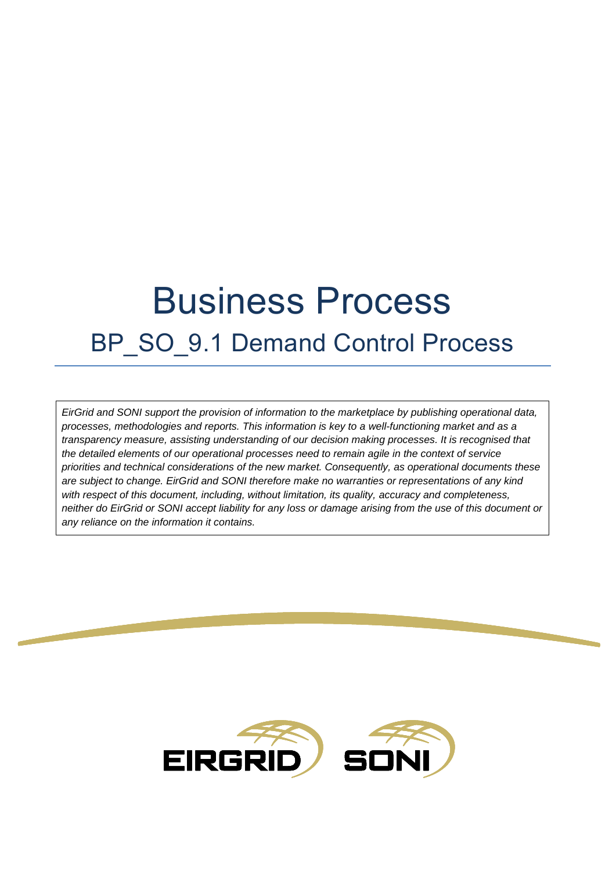# Business Process BP SO 9.1 Demand Control Process

*EirGrid and SONI support the provision of information to the marketplace by publishing operational data, processes, methodologies and reports. This information is key to a well-functioning market and as a transparency measure, assisting understanding of our decision making processes. It is recognised that the detailed elements of our operational processes need to remain agile in the context of service priorities and technical considerations of the new market. Consequently, as operational documents these are subject to change. EirGrid and SONI therefore make no warranties or representations of any kind with respect of this document, including, without limitation, its quality, accuracy and completeness, neither do EirGrid or SONI accept liability for any loss or damage arising from the use of this document or any reliance on the information it contains.*

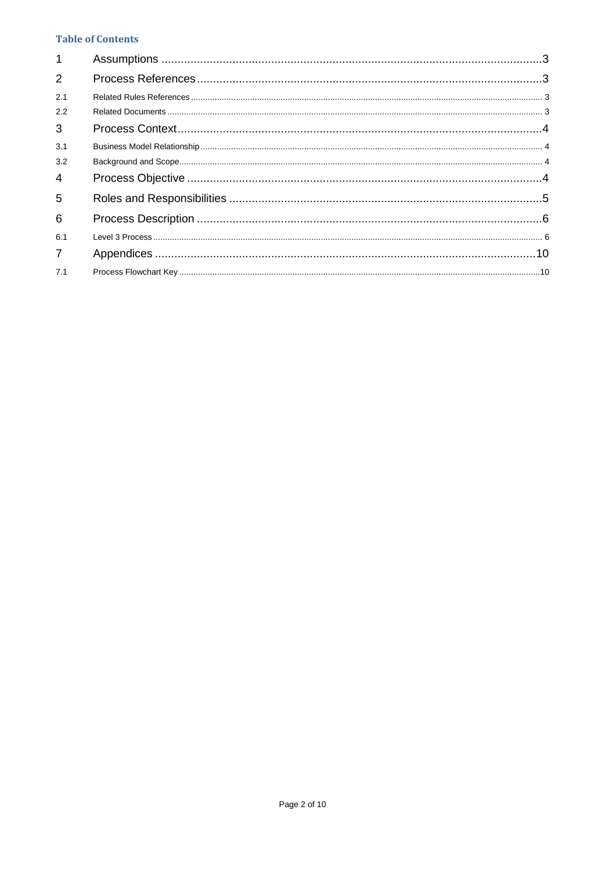# **Table of Contents**

| $\mathbf{1}$   |  |
|----------------|--|
| 2              |  |
| 2.1            |  |
| 2.2            |  |
| 3              |  |
| 3.1            |  |
| 3.2            |  |
| 4              |  |
| 5              |  |
| 6              |  |
| 6.1            |  |
| $\overline{7}$ |  |
| 7.1            |  |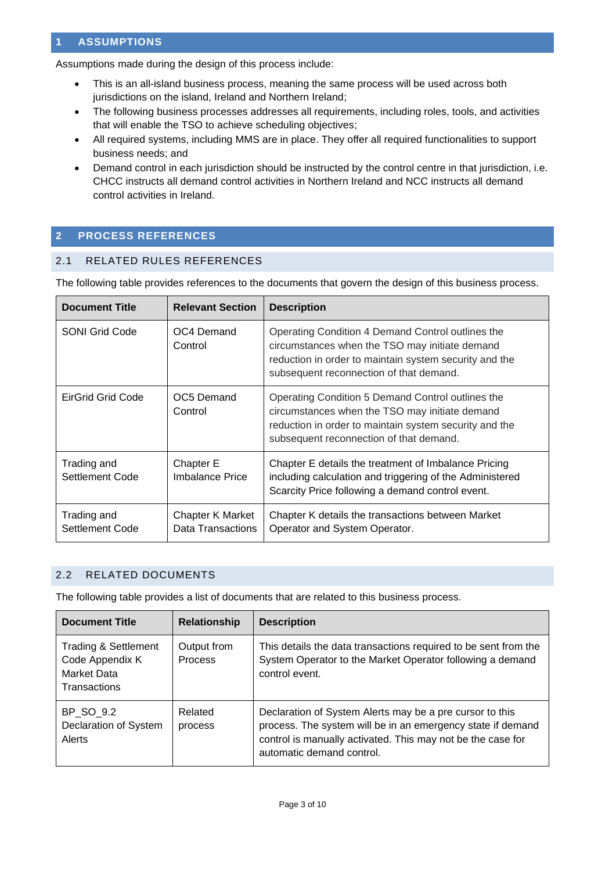# <span id="page-2-0"></span>**1 ASSUMPTIONS**

Assumptions made during the design of this process include:

- This is an all-island business process, meaning the same process will be used across both jurisdictions on the island, Ireland and Northern Ireland;
- The following business processes addresses all requirements, including roles, tools, and activities that will enable the TSO to achieve scheduling objectives;
- All required systems, including MMS are in place. They offer all required functionalities to support business needs; and
- Demand control in each jurisdiction should be instructed by the control centre in that jurisdiction, i.e. CHCC instructs all demand control activities in Northern Ireland and NCC instructs all demand control activities in Ireland.

# <span id="page-2-1"></span>**2 PROCESS REFERENCES**

## <span id="page-2-2"></span>2.1 RELATED RULES REFERENCES

The following table provides references to the documents that govern the design of this business process.

| <b>Document Title</b>          | <b>Relevant Section</b>               | <b>Description</b>                                                                                                                                                                                       |
|--------------------------------|---------------------------------------|----------------------------------------------------------------------------------------------------------------------------------------------------------------------------------------------------------|
| <b>SONI Grid Code</b>          | OC4 Demand<br>Control                 | Operating Condition 4 Demand Control outlines the<br>circumstances when the TSO may initiate demand<br>reduction in order to maintain system security and the<br>subsequent reconnection of that demand. |
| EirGrid Grid Code              | OC5 Demand<br>Control                 | Operating Condition 5 Demand Control outlines the<br>circumstances when the TSO may initiate demand<br>reduction in order to maintain system security and the<br>subsequent reconnection of that demand. |
| Trading and<br>Settlement Code | Chapter E<br>Imbalance Price          | Chapter E details the treatment of Imbalance Pricing<br>including calculation and triggering of the Administered<br>Scarcity Price following a demand control event.                                     |
| Trading and<br>Settlement Code | Chapter K Market<br>Data Transactions | Chapter K details the transactions between Market<br>Operator and System Operator.                                                                                                                       |

## <span id="page-2-3"></span>2.2 RELATED DOCUMENTS

The following table provides a list of documents that are related to this business process.

| <b>Document Title</b>                                                                    | Relationship           | <b>Description</b>                                                                                                                                                                                                  |
|------------------------------------------------------------------------------------------|------------------------|---------------------------------------------------------------------------------------------------------------------------------------------------------------------------------------------------------------------|
| <b>Trading &amp; Settlement</b><br>Code Appendix K<br>Market Data<br><b>Transactions</b> | Output from<br>Process | This details the data transactions required to be sent from the<br>System Operator to the Market Operator following a demand<br>control event.                                                                      |
| BP SO 9.2<br>Declaration of System<br>Alerts                                             | Related<br>process     | Declaration of System Alerts may be a pre cursor to this<br>process. The system will be in an emergency state if demand<br>control is manually activated. This may not be the case for<br>automatic demand control. |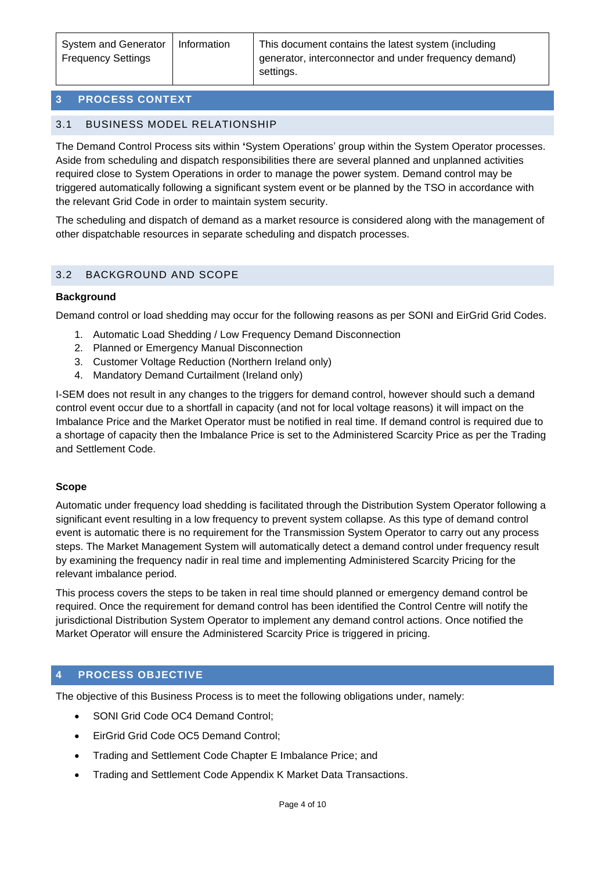# <span id="page-3-0"></span>**3 PROCESS CONTEXT**

# <span id="page-3-1"></span>3.1 BUSINESS MODEL RELATIONSHIP

The Demand Control Process sits within **'**System Operations' group within the System Operator processes. Aside from scheduling and dispatch responsibilities there are several planned and unplanned activities required close to System Operations in order to manage the power system. Demand control may be triggered automatically following a significant system event or be planned by the TSO in accordance with the relevant Grid Code in order to maintain system security.

The scheduling and dispatch of demand as a market resource is considered along with the management of other dispatchable resources in separate scheduling and dispatch processes.

# <span id="page-3-2"></span>3.2 BACKGROUND AND SCOPE

## **Background**

Demand control or load shedding may occur for the following reasons as per SONI and EirGrid Grid Codes.

- 1. Automatic Load Shedding / Low Frequency Demand Disconnection
- 2. Planned or Emergency Manual Disconnection
- 3. Customer Voltage Reduction (Northern Ireland only)
- 4. Mandatory Demand Curtailment (Ireland only)

I-SEM does not result in any changes to the triggers for demand control, however should such a demand control event occur due to a shortfall in capacity (and not for local voltage reasons) it will impact on the Imbalance Price and the Market Operator must be notified in real time. If demand control is required due to a shortage of capacity then the Imbalance Price is set to the Administered Scarcity Price as per the Trading and Settlement Code.

#### **Scope**

Automatic under frequency load shedding is facilitated through the Distribution System Operator following a significant event resulting in a low frequency to prevent system collapse. As this type of demand control event is automatic there is no requirement for the Transmission System Operator to carry out any process steps. The Market Management System will automatically detect a demand control under frequency result by examining the frequency nadir in real time and implementing Administered Scarcity Pricing for the relevant imbalance period.

This process covers the steps to be taken in real time should planned or emergency demand control be required. Once the requirement for demand control has been identified the Control Centre will notify the jurisdictional Distribution System Operator to implement any demand control actions. Once notified the Market Operator will ensure the Administered Scarcity Price is triggered in pricing.

# <span id="page-3-3"></span>**4 PROCESS OBJECTIVE**

The objective of this Business Process is to meet the following obligations under, namely:

- SONI Grid Code OC4 Demand Control;
- EirGrid Grid Code OC5 Demand Control;
- Trading and Settlement Code Chapter E Imbalance Price; and
- Trading and Settlement Code Appendix K Market Data Transactions.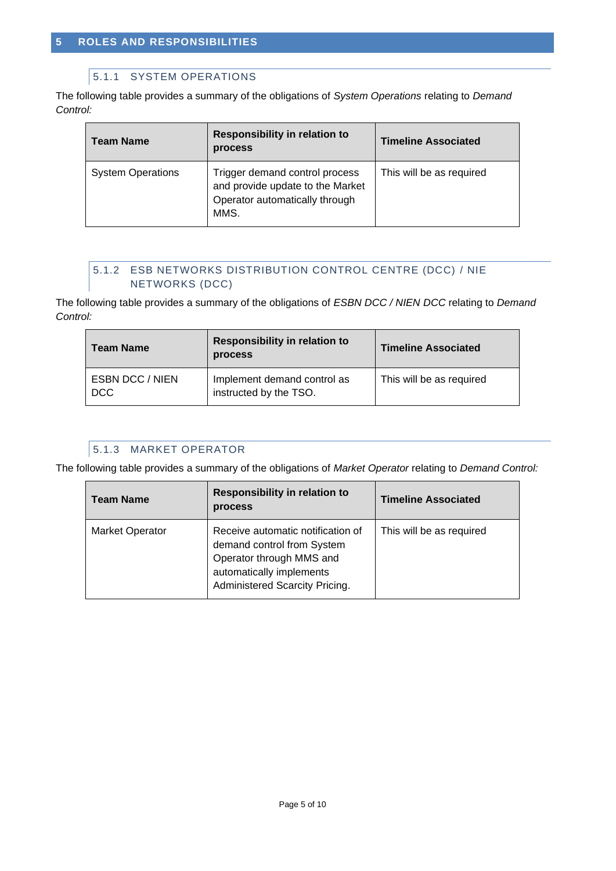# <span id="page-4-0"></span>5.1.1 SYSTEM OPERATIONS

The following table provides a summary of the obligations of *System Operations* relating to *Demand Control:*

| Team Name                | Responsibility in relation to<br>process                                                                     | <b>Timeline Associated</b> |
|--------------------------|--------------------------------------------------------------------------------------------------------------|----------------------------|
| <b>System Operations</b> | Trigger demand control process<br>and provide update to the Market<br>Operator automatically through<br>MMS. | This will be as required   |

# 5.1.2 ESB NETWORKS DISTRIBUTION CONTROL CENTRE (DCC) / NIE NETWORKS (DCC)

The following table provides a summary of the obligations of *ESBN DCC / NIEN DCC* relating to *Demand Control:*

| <b>Team Name</b>                     | <b>Responsibility in relation to</b><br><b>process</b> | <b>Timeline Associated</b> |  |
|--------------------------------------|--------------------------------------------------------|----------------------------|--|
| <b>ESBN DCC / NIEN</b><br><b>DCC</b> | Implement demand control as<br>instructed by the TSO.  | This will be as required   |  |

# 5.1.3 MARKET OPERATOR

The following table provides a summary of the obligations of *Market Operator* relating to *Demand Control:*

| <b>Team Name</b>       | <b>Responsibility in relation to</b><br>process                                                                                                           | <b>Timeline Associated</b> |
|------------------------|-----------------------------------------------------------------------------------------------------------------------------------------------------------|----------------------------|
| <b>Market Operator</b> | Receive automatic notification of<br>demand control from System<br>Operator through MMS and<br>automatically implements<br>Administered Scarcity Pricing. | This will be as required   |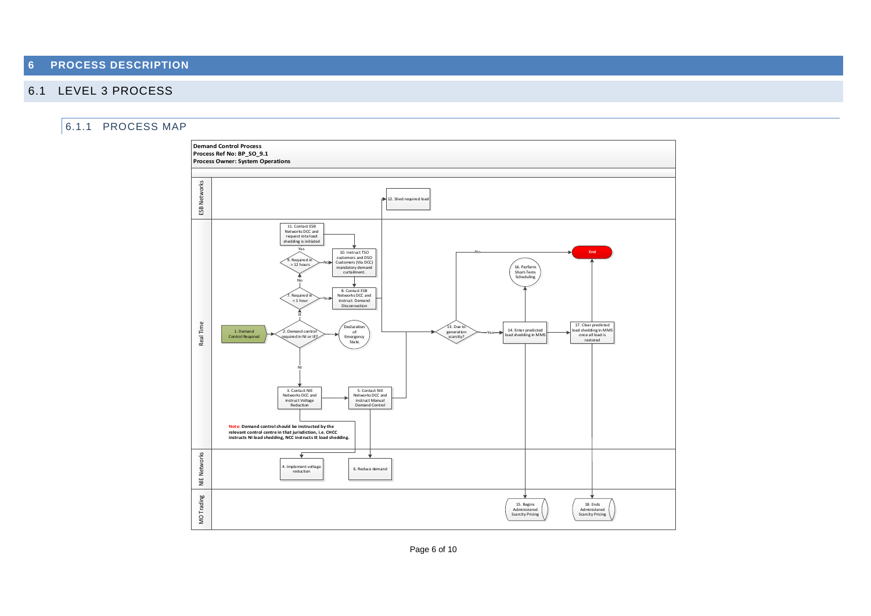# **6 PROCESS DESCRIPTION**

# 6.1 LEVEL 3 PROCESS

## <span id="page-5-1"></span><span id="page-5-0"></span>6.1.1 PROCESS MAP



Page 6 of 10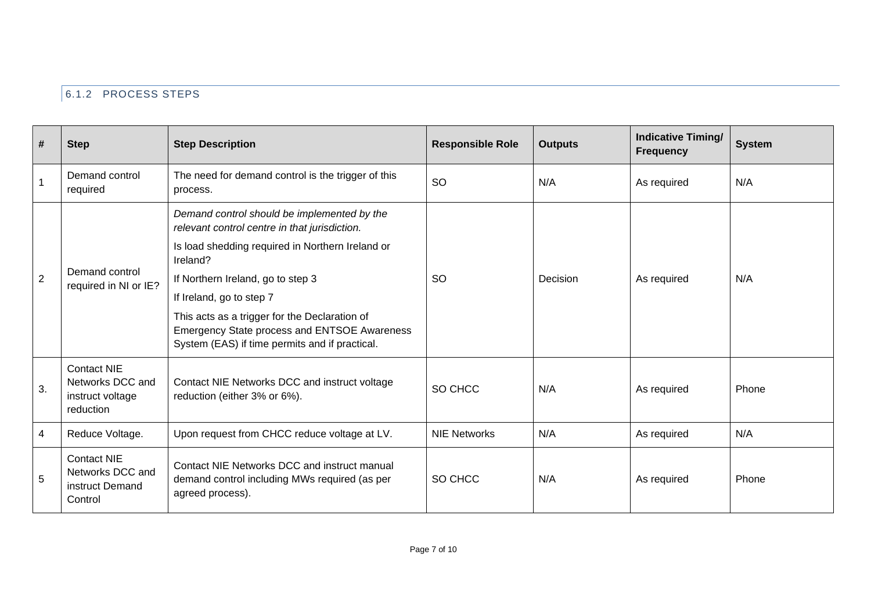# 6.1.2 PROCESS STEPS

| #              | <b>Step</b>                                                             | <b>Step Description</b>                                                                                                                          | <b>Responsible Role</b> | <b>Outputs</b> | <b>Indicative Timing/</b><br><b>Frequency</b> | <b>System</b> |
|----------------|-------------------------------------------------------------------------|--------------------------------------------------------------------------------------------------------------------------------------------------|-------------------------|----------------|-----------------------------------------------|---------------|
|                | Demand control<br>required                                              | The need for demand control is the trigger of this<br>process.                                                                                   | <b>SO</b>               | N/A            | As required                                   | N/A           |
| $\overline{2}$ |                                                                         | Demand control should be implemented by the<br>relevant control centre in that jurisdiction.<br>Is load shedding required in Northern Ireland or |                         |                |                                               |               |
|                | Demand control<br>required in NI or IE?                                 | Ireland?<br>If Northern Ireland, go to step 3                                                                                                    | <b>SO</b>               | Decision       | As required                                   | N/A           |
|                |                                                                         | If Ireland, go to step 7                                                                                                                         |                         |                |                                               |               |
|                |                                                                         | This acts as a trigger for the Declaration of<br>Emergency State process and ENTSOE Awareness<br>System (EAS) if time permits and if practical.  |                         |                |                                               |               |
| 3.             | <b>Contact NIE</b><br>Networks DCC and<br>instruct voltage<br>reduction | Contact NIE Networks DCC and instruct voltage<br>reduction (either 3% or 6%).                                                                    | SO CHCC                 | N/A            | As required                                   | Phone         |
| $\overline{4}$ | Reduce Voltage.                                                         | Upon request from CHCC reduce voltage at LV.                                                                                                     | <b>NIE Networks</b>     | N/A            | As required                                   | N/A           |
| 5              | <b>Contact NIE</b><br>Networks DCC and<br>instruct Demand<br>Control    | Contact NIE Networks DCC and instruct manual<br>demand control including MWs required (as per<br>agreed process).                                | SO CHCC                 | N/A            | As required                                   | Phone         |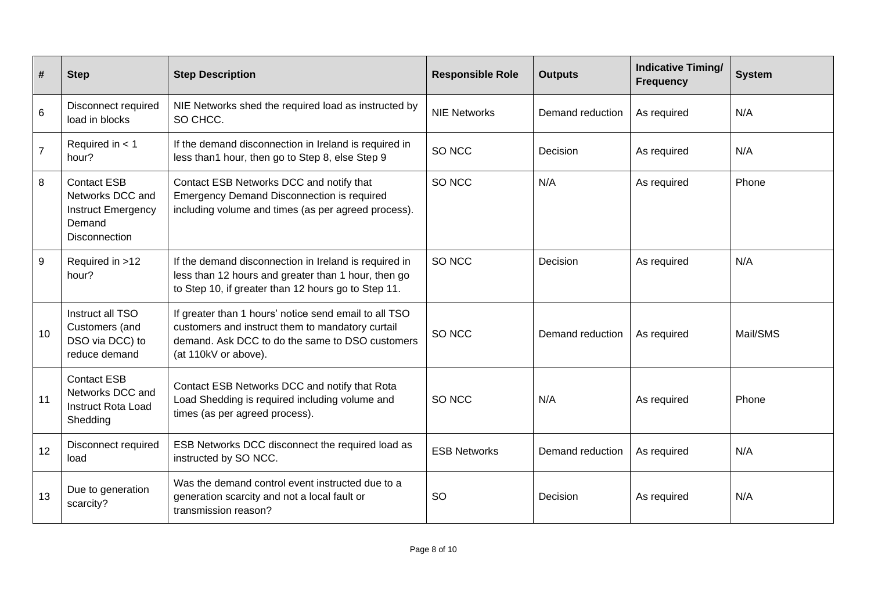| #              | <b>Step</b>                                                                                    | <b>Step Description</b>                                                                                                                                                              | <b>Responsible Role</b> | <b>Outputs</b>   | <b>Indicative Timing/</b><br><b>Frequency</b> | <b>System</b> |
|----------------|------------------------------------------------------------------------------------------------|--------------------------------------------------------------------------------------------------------------------------------------------------------------------------------------|-------------------------|------------------|-----------------------------------------------|---------------|
| 6              | <b>Disconnect required</b><br>load in blocks                                                   | NIE Networks shed the required load as instructed by<br>SO CHCC.                                                                                                                     | <b>NIE Networks</b>     | Demand reduction | As required                                   | N/A           |
| $\overline{7}$ | Required in $<$ 1<br>hour?                                                                     | If the demand disconnection in Ireland is required in<br>less than1 hour, then go to Step 8, else Step 9                                                                             | SO NCC                  | Decision         | As required                                   | N/A           |
| 8              | <b>Contact ESB</b><br>Networks DCC and<br><b>Instruct Emergency</b><br>Demand<br>Disconnection | Contact ESB Networks DCC and notify that<br><b>Emergency Demand Disconnection is required</b><br>including volume and times (as per agreed process).                                 | SO NCC                  | N/A              | As required                                   | Phone         |
| 9              | Required in >12<br>hour?                                                                       | If the demand disconnection in Ireland is required in<br>less than 12 hours and greater than 1 hour, then go<br>to Step 10, if greater than 12 hours go to Step 11.                  | SO NCC                  | Decision         | As required                                   | N/A           |
| 10             | Instruct all TSO<br>Customers (and<br>DSO via DCC) to<br>reduce demand                         | If greater than 1 hours' notice send email to all TSO<br>customers and instruct them to mandatory curtail<br>demand. Ask DCC to do the same to DSO customers<br>(at 110kV or above). | SO NCC                  | Demand reduction | As required                                   | Mail/SMS      |
| 11             | <b>Contact ESB</b><br>Networks DCC and<br><b>Instruct Rota Load</b><br>Shedding                | Contact ESB Networks DCC and notify that Rota<br>Load Shedding is required including volume and<br>times (as per agreed process).                                                    | SO NCC                  | N/A              | As required                                   | Phone         |
| 12             | <b>Disconnect required</b><br>load                                                             | ESB Networks DCC disconnect the required load as<br>instructed by SO NCC.                                                                                                            | <b>ESB Networks</b>     | Demand reduction | As required                                   | N/A           |
| 13             | Due to generation<br>scarcity?                                                                 | Was the demand control event instructed due to a<br>generation scarcity and not a local fault or<br>transmission reason?                                                             | SO                      | Decision         | As required                                   | N/A           |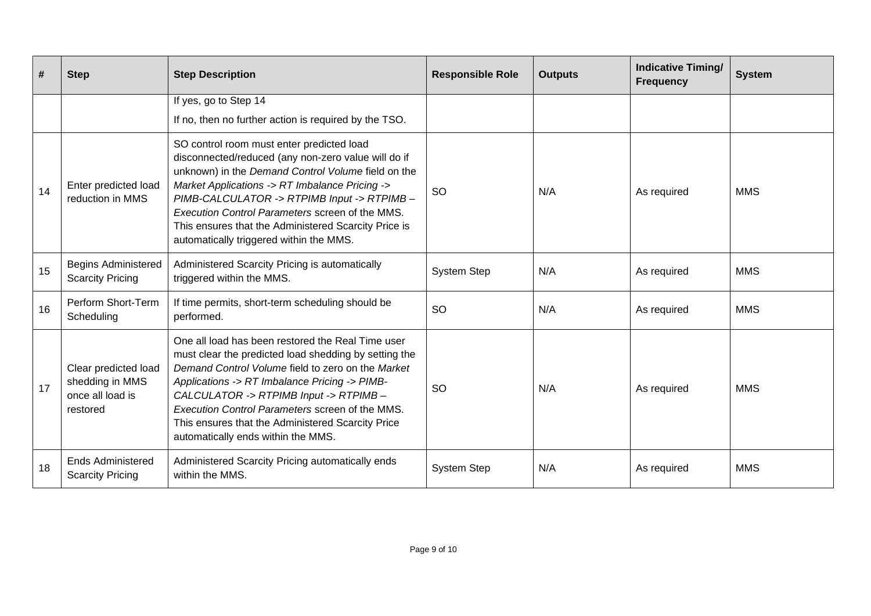| #  | <b>Step</b>                                                             | <b>Step Description</b>                                                                                                                                                                                                                                                                                                                                                                                      | <b>Responsible Role</b> | <b>Outputs</b> | <b>Indicative Timing/</b><br><b>Frequency</b> | <b>System</b> |
|----|-------------------------------------------------------------------------|--------------------------------------------------------------------------------------------------------------------------------------------------------------------------------------------------------------------------------------------------------------------------------------------------------------------------------------------------------------------------------------------------------------|-------------------------|----------------|-----------------------------------------------|---------------|
|    |                                                                         | If yes, go to Step 14<br>If no, then no further action is required by the TSO.                                                                                                                                                                                                                                                                                                                               |                         |                |                                               |               |
| 14 | Enter predicted load<br>reduction in MMS                                | SO control room must enter predicted load<br>disconnected/reduced (any non-zero value will do if<br>unknown) in the Demand Control Volume field on the<br>Market Applications -> RT Imbalance Pricing -><br>PIMB-CALCULATOR -> RTPIMB Input -> RTPIMB-<br>Execution Control Parameters screen of the MMS.<br>This ensures that the Administered Scarcity Price is<br>automatically triggered within the MMS. | <b>SO</b>               | N/A            | As required                                   | <b>MMS</b>    |
| 15 | <b>Begins Administered</b><br><b>Scarcity Pricing</b>                   | Administered Scarcity Pricing is automatically<br>triggered within the MMS.                                                                                                                                                                                                                                                                                                                                  | <b>System Step</b>      | N/A            | As required                                   | <b>MMS</b>    |
| 16 | Perform Short-Term<br>Scheduling                                        | If time permits, short-term scheduling should be<br>performed.                                                                                                                                                                                                                                                                                                                                               | <b>SO</b>               | N/A            | As required                                   | <b>MMS</b>    |
| 17 | Clear predicted load<br>shedding in MMS<br>once all load is<br>restored | One all load has been restored the Real Time user<br>must clear the predicted load shedding by setting the<br>Demand Control Volume field to zero on the Market<br>Applications -> RT Imbalance Pricing -> PIMB-<br>CALCULATOR -> RTPIMB Input -> RTPIMB-<br>Execution Control Parameters screen of the MMS.<br>This ensures that the Administered Scarcity Price<br>automatically ends within the MMS.      | <b>SO</b>               | N/A            | As required                                   | <b>MMS</b>    |
| 18 | <b>Ends Administered</b><br><b>Scarcity Pricing</b>                     | Administered Scarcity Pricing automatically ends<br>within the MMS.                                                                                                                                                                                                                                                                                                                                          | <b>System Step</b>      | N/A            | As required                                   | <b>MMS</b>    |